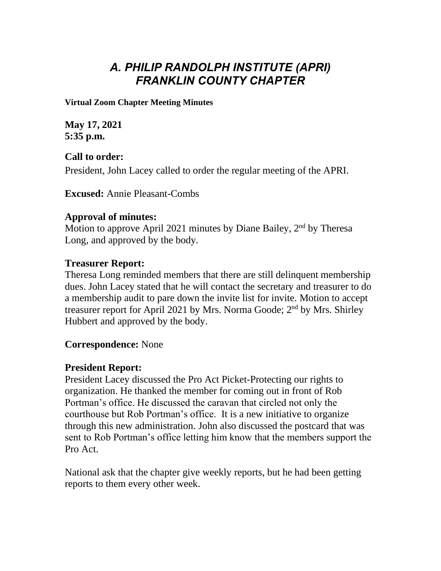# *A. PHILIP RANDOLPH INSTITUTE (APRI) FRANKLIN COUNTY CHAPTER*

**Virtual Zoom Chapter Meeting Minutes**

**May 17, 2021 5:35 p.m.**

**Call to order:** President, John Lacey called to order the regular meeting of the APRI.

**Excused:** Annie Pleasant-Combs

# **Approval of minutes:**

Motion to approve April 2021 minutes by Diane Bailey, 2<sup>nd</sup> by Theresa Long, and approved by the body.

# **Treasurer Report:**

Theresa Long reminded members that there are still delinquent membership dues. John Lacey stated that he will contact the secretary and treasurer to do a membership audit to pare down the invite list for invite. Motion to accept treasurer report for April 2021 by Mrs. Norma Goode; 2<sup>nd</sup> by Mrs. Shirley Hubbert and approved by the body.

# **Correspondence:** None

# **President Report:**

President Lacey discussed the Pro Act Picket-Protecting our rights to organization. He thanked the member for coming out in front of Rob Portman's office. He discussed the caravan that circled not only the courthouse but Rob Portman's office. It is a new initiative to organize through this new administration. John also discussed the postcard that was sent to Rob Portman's office letting him know that the members support the Pro Act.

National ask that the chapter give weekly reports, but he had been getting reports to them every other week.